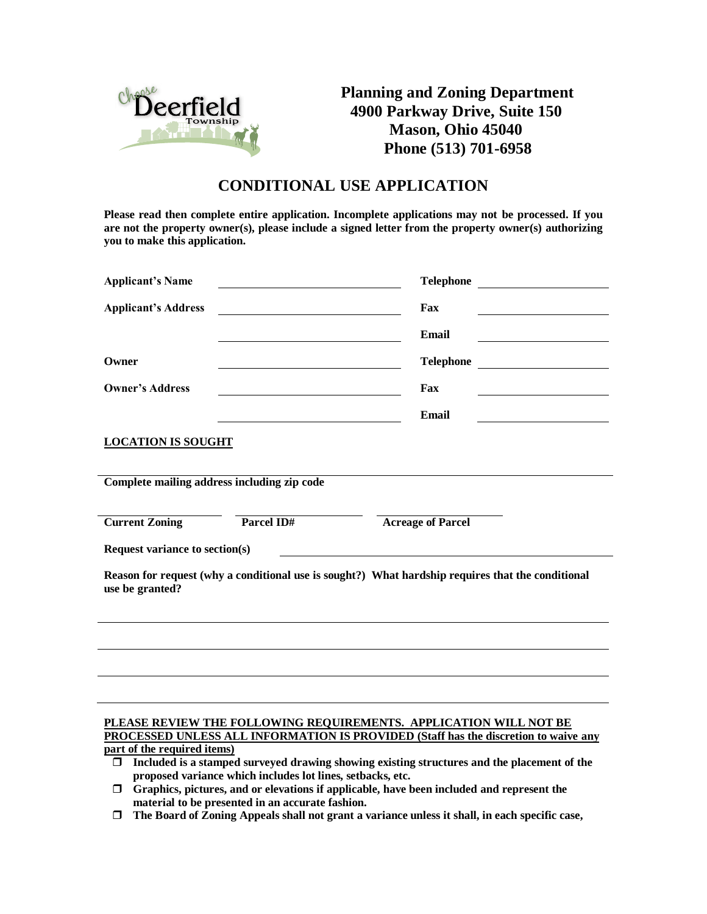

**Planning and Zoning Department 4900 Parkway Drive, Suite 150 Mason, Ohio 45040 Phone (513) 701-6958**

## **CONDITIONAL USE APPLICATION**

**Please read then complete entire application. Incomplete applications may not be processed. If you are not the property owner(s), please include a signed letter from the property owner(s) authorizing you to make this application.**

| <b>Applicant's Name</b>                                                                                                                                                                                                                                                                      | <b>Telephone</b><br><u> 1980 - Andrea Station Barbara, amerikan per</u>                                                                                                                                                                                  |  |  |  |  |  |  |  |
|----------------------------------------------------------------------------------------------------------------------------------------------------------------------------------------------------------------------------------------------------------------------------------------------|----------------------------------------------------------------------------------------------------------------------------------------------------------------------------------------------------------------------------------------------------------|--|--|--|--|--|--|--|
| <b>Applicant's Address</b>                                                                                                                                                                                                                                                                   | Fax                                                                                                                                                                                                                                                      |  |  |  |  |  |  |  |
|                                                                                                                                                                                                                                                                                              | Email                                                                                                                                                                                                                                                    |  |  |  |  |  |  |  |
| Owner                                                                                                                                                                                                                                                                                        | <b>Telephone</b><br><u>and the state of the state of the state of the state of the state of the state of the state of the state of the state of the state of the state of the state of the state of the state of the state of the state of the state</u> |  |  |  |  |  |  |  |
| <b>Owner's Address</b>                                                                                                                                                                                                                                                                       | Fax                                                                                                                                                                                                                                                      |  |  |  |  |  |  |  |
|                                                                                                                                                                                                                                                                                              | Email                                                                                                                                                                                                                                                    |  |  |  |  |  |  |  |
| <b>LOCATION IS SOUGHT</b>                                                                                                                                                                                                                                                                    |                                                                                                                                                                                                                                                          |  |  |  |  |  |  |  |
| Complete mailing address including zip code                                                                                                                                                                                                                                                  |                                                                                                                                                                                                                                                          |  |  |  |  |  |  |  |
| Parcel ID#<br><b>Current Zoning</b>                                                                                                                                                                                                                                                          | <b>Acreage of Parcel</b>                                                                                                                                                                                                                                 |  |  |  |  |  |  |  |
| Request variance to section(s)                                                                                                                                                                                                                                                               |                                                                                                                                                                                                                                                          |  |  |  |  |  |  |  |
| Reason for request (why a conditional use is sought?) What hardship requires that the conditional<br>use be granted?                                                                                                                                                                         |                                                                                                                                                                                                                                                          |  |  |  |  |  |  |  |
|                                                                                                                                                                                                                                                                                              |                                                                                                                                                                                                                                                          |  |  |  |  |  |  |  |
|                                                                                                                                                                                                                                                                                              |                                                                                                                                                                                                                                                          |  |  |  |  |  |  |  |
|                                                                                                                                                                                                                                                                                              |                                                                                                                                                                                                                                                          |  |  |  |  |  |  |  |
| PLEASE REVIEW THE FOLLOWING REQUIREMENTS. APPLICATION WILL NOT BE<br>PROCESSED UNLESS ALL INFORMATION IS PROVIDED (Staff has the discretion to waive any<br>part of the required items)<br>Included is a stamped surveyed drawing showing existing structures and the placement of the<br>Π. |                                                                                                                                                                                                                                                          |  |  |  |  |  |  |  |

- **proposed variance which includes lot lines, setbacks, etc.**
- **Graphics, pictures, and or elevations if applicable, have been included and represent the material to be presented in an accurate fashion.**
- **The Board of Zoning Appeals shall not grant a variance unless it shall, in each specific case,**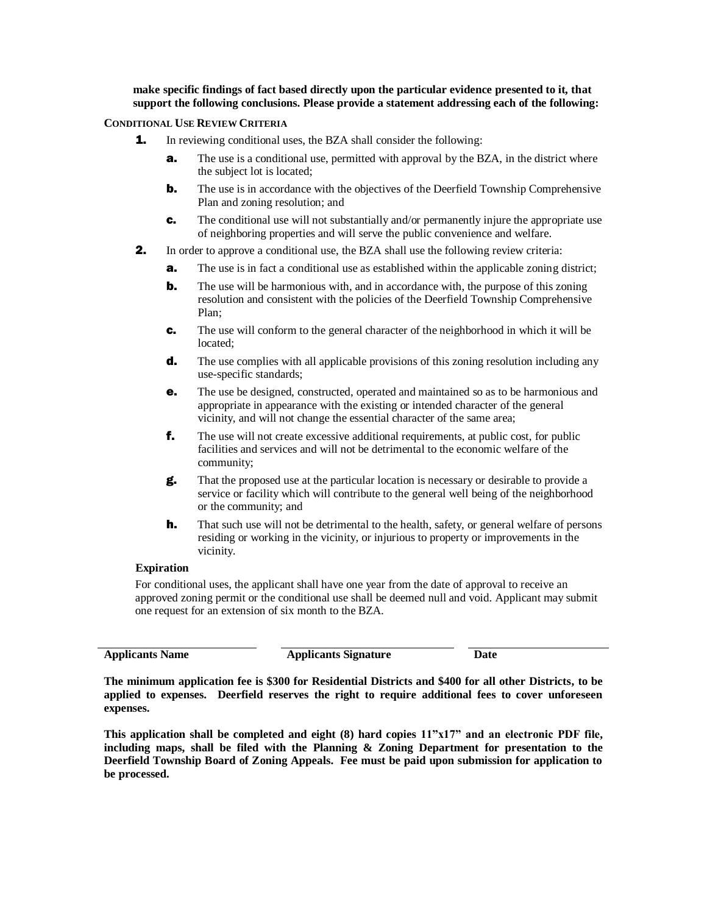**make specific findings of fact based directly upon the particular evidence presented to it, that support the following conclusions. Please provide a statement addressing each of the following:**

## **CONDITIONAL USE REVIEW CRITERIA**

- **1.** In reviewing conditional uses, the BZA shall consider the following:
	- **a.** The use is a conditional use, permitted with approval by the BZA, in the district where the subject lot is located;
	- **b.** The use is in accordance with the objectives of the Deerfield Township Comprehensive Plan and zoning resolution; and
	- c. The conditional use will not substantially and/or permanently injure the appropriate use of neighboring properties and will serve the public convenience and welfare.
- **2.** In order to approve a conditional use, the BZA shall use the following review criteria:
	- **a.** The use is in fact a conditional use as established within the applicable zoning district;
	- **b.** The use will be harmonious with, and in accordance with, the purpose of this zoning resolution and consistent with the policies of the Deerfield Township Comprehensive Plan;
	- c. The use will conform to the general character of the neighborhood in which it will be located;
	- **d.** The use complies with all applicable provisions of this zoning resolution including any use-specific standards;
	- e. The use be designed, constructed, operated and maintained so as to be harmonious and appropriate in appearance with the existing or intended character of the general vicinity, and will not change the essential character of the same area;
	- f. The use will not create excessive additional requirements, at public cost, for public facilities and services and will not be detrimental to the economic welfare of the community;
	- g. That the proposed use at the particular location is necessary or desirable to provide a service or facility which will contribute to the general well being of the neighborhood or the community; and
	- **h.** That such use will not be detrimental to the health, safety, or general welfare of persons residing or working in the vicinity, or injurious to property or improvements in the vicinity.

## **Expiration**

For conditional uses, the applicant shall have one year from the date of approval to receive an approved zoning permit or the conditional use shall be deemed null and void. Applicant may submit one request for an extension of six month to the BZA.

**Applicants Name Applicants Signature Date**

**The minimum application fee is \$300 for Residential Districts and \$400 for all other Districts, to be applied to expenses. Deerfield reserves the right to require additional fees to cover unforeseen expenses.**

**This application shall be completed and eight (8) hard copies 11"x17" and an electronic PDF file, including maps, shall be filed with the Planning & Zoning Department for presentation to the Deerfield Township Board of Zoning Appeals. Fee must be paid upon submission for application to be processed.**